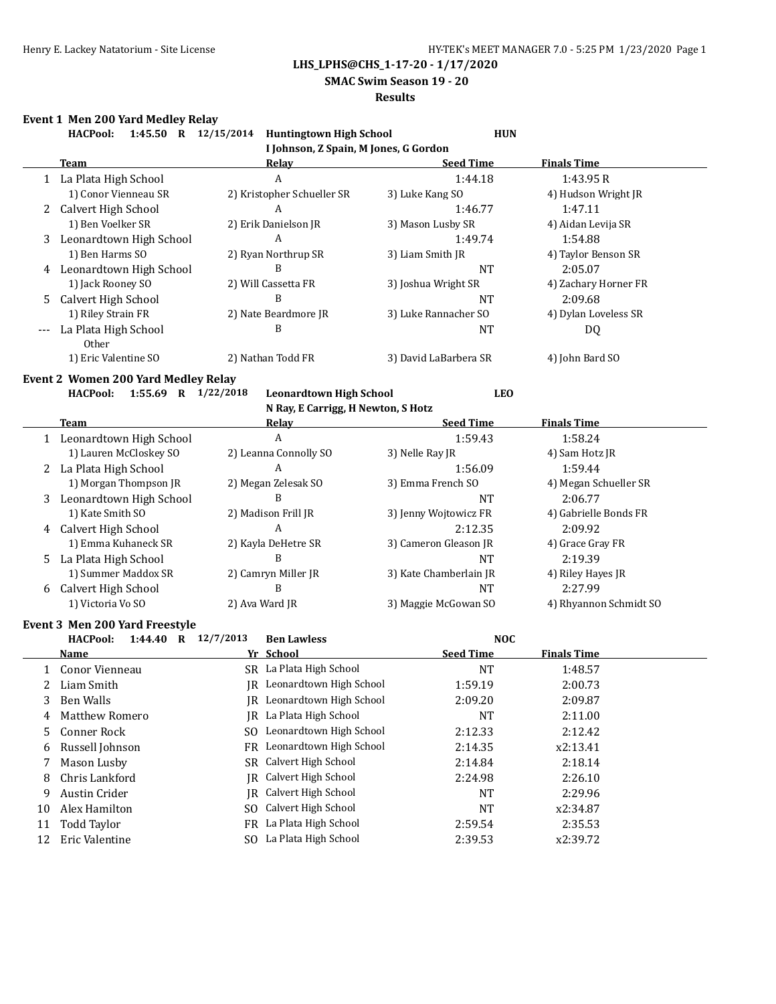**SMAC Swim Season 19 - 20**

#### **Results**

# **Event 1 Men 200 Yard Medley Relay**

|                | Event 1 Men 200 Yard Medley Relay<br>1:45.50 R 12/15/2014<br><b>HACPool:</b> | <b>Huntingtown High School</b>        | <b>HUN</b>             |                        |
|----------------|------------------------------------------------------------------------------|---------------------------------------|------------------------|------------------------|
|                |                                                                              | I Johnson, Z Spain, M Jones, G Gordon |                        |                        |
|                | <b>Team</b>                                                                  | Relay                                 | <b>Seed Time</b>       | <b>Finals Time</b>     |
|                | 1 La Plata High School                                                       | A                                     | 1:44.18                | 1:43.95R               |
|                | 1) Conor Vienneau SR                                                         | 2) Kristopher Schueller SR            | 3) Luke Kang SO        | 4) Hudson Wright JR    |
|                | 2 Calvert High School                                                        | A                                     | 1:46.77                | 1:47.11                |
|                | 1) Ben Voelker SR                                                            | 2) Erik Danielson JR                  | 3) Mason Lusby SR      | 4) Aidan Levija SR     |
| 3              | Leonardtown High School                                                      | $\mathbf{A}$                          | 1:49.74                | 1:54.88                |
|                | 1) Ben Harms SO                                                              | 2) Ryan Northrup SR                   | 3) Liam Smith JR       | 4) Taylor Benson SR    |
|                | 4 Leonardtown High School                                                    | B                                     | NT                     | 2:05.07                |
|                | 1) Jack Rooney SO                                                            | 2) Will Cassetta FR                   | 3) Joshua Wright SR    | 4) Zachary Horner FR   |
| 5              | Calvert High School                                                          | B                                     | NT                     | 2:09.68                |
|                | 1) Riley Strain FR                                                           | 2) Nate Beardmore JR                  | 3) Luke Rannacher SO   | 4) Dylan Loveless SR   |
|                | La Plata High School                                                         | B                                     | NT                     | DQ                     |
|                | Other                                                                        |                                       |                        |                        |
|                | 1) Eric Valentine SO                                                         | 2) Nathan Todd FR                     | 3) David LaBarbera SR  | 4) John Bard SO        |
|                | <b>Event 2 Women 200 Yard Medley Relay</b>                                   |                                       |                        |                        |
|                | 1:55.69 R 1/22/2018<br><b>HACPool:</b>                                       | <b>Leonardtown High School</b>        | <b>LEO</b>             |                        |
|                |                                                                              | N Ray, E Carrigg, H Newton, S Hotz    |                        |                        |
|                | <b>Team</b>                                                                  | Relay                                 | <b>Seed Time</b>       | <b>Finals Time</b>     |
|                | 1 Leonardtown High School                                                    | $\overline{A}$                        | 1:59.43                | 1:58.24                |
|                | 1) Lauren McCloskey SO                                                       | 2) Leanna Connolly SO                 | 3) Nelle Ray JR        | 4) Sam Hotz JR         |
|                | 2 La Plata High School                                                       | A                                     | 1:56.09                | 1:59.44                |
|                | 1) Morgan Thompson JR                                                        | 2) Megan Zelesak SO                   | 3) Emma French SO      | 4) Megan Schueller SR  |
| 3              | Leonardtown High School                                                      | B                                     | NT                     | 2:06.77                |
|                | 1) Kate Smith SO                                                             | 2) Madison Frill JR                   | 3) Jenny Wojtowicz FR  | 4) Gabrielle Bonds FR  |
|                | 4 Calvert High School                                                        | $\overline{A}$                        | 2:12.35                | 2:09.92                |
|                | 1) Emma Kuhaneck SR                                                          | 2) Kayla DeHetre SR                   | 3) Cameron Gleason JR  | 4) Grace Gray FR       |
| 5.             | La Plata High School                                                         | B                                     | NT                     | 2:19.39                |
|                | 1) Summer Maddox SR                                                          | 2) Camryn Miller JR                   | 3) Kate Chamberlain JR | 4) Riley Hayes JR      |
|                | 6 Calvert High School                                                        | B                                     | NT                     | 2:27.99                |
|                | 1) Victoria Vo SO                                                            | 2) Ava Ward JR                        | 3) Maggie McGowan SO   | 4) Rhyannon Schmidt SO |
|                |                                                                              |                                       |                        |                        |
|                | Event 3 Men 200 Yard Freestyle                                               |                                       |                        |                        |
|                | <b>HACPool:</b><br>1:44.40 R $12/7/2013$                                     | <b>Ben Lawless</b>                    | <b>NOC</b>             |                        |
|                | Name                                                                         | Yr School                             | <b>Seed Time</b>       | <b>Finals Time</b>     |
| 1              | Conor Vienneau                                                               | SR La Plata High School               | NT                     | 1:48.57                |
| 2              | Liam Smith                                                                   | IR Leonardtown High School            | 1:59.19                | 2:00.73                |
| 3              | <b>Ben Walls</b>                                                             | JR Leonardtown High School            | 2:09.20                | 2:09.87                |
| $\overline{4}$ | <b>Matthew Romero</b>                                                        | IR La Plata High School               | <b>NT</b>              | 2:11.00                |

5 Conner Rock SO Leonardtown High School 2:12.33 2:12.42 6 Russell Johnson FR Leonardtown High School 2:14.35 x2:13.41 7 Mason Lusby SR Calvert High School 2:14.84 2:18.14 8 Chris Lankford JR Calvert High School 2:24.98 2:26.10 9 Austin Crider The TR Calvert High School NT 2:29.96 10 Alex Hamilton SO Calvert High School NT x2:34.87 11 Todd Taylor FR La Plata High School 2:59.54 2:35.53 12 Eric Valentine SO La Plata High School 2:39.53 x2:39.72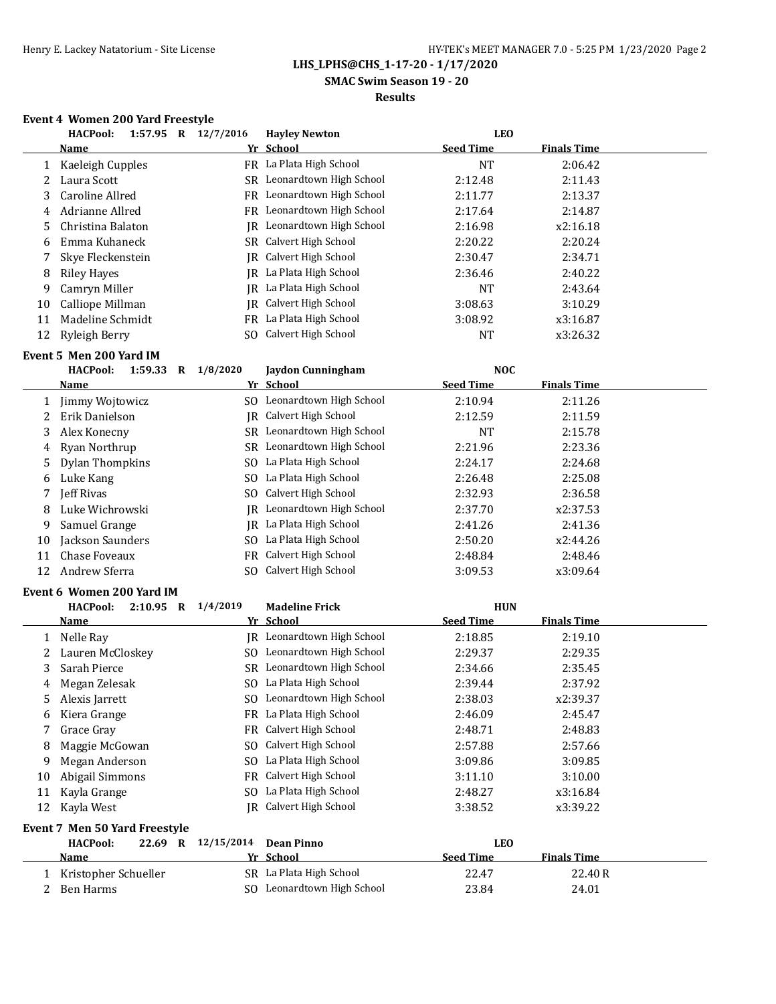### **SMAC Swim Season 19 - 20**

### **Results**

### **Event 4 Women 200 Yard Freestyle**

| <b>HACPool:</b><br>1:57.95<br>R | 12/7/2016<br><b>Hayley Newton</b> | <b>LEO</b>       |                    |
|---------------------------------|-----------------------------------|------------------|--------------------|
| <b>Name</b>                     | Yr School                         | <b>Seed Time</b> | <b>Finals Time</b> |
| Kaeleigh Cupples                | FR La Plata High School           | NT               | 2:06.42            |
| Laura Scott                     | SR Leonardtown High School        | 2:12.48          | 2:11.43            |
| Caroline Allred                 | FR Leonardtown High School        | 2:11.77          | 2:13.37            |
| Adrianne Allred                 | FR Leonardtown High School        | 2:17.64          | 2:14.87            |
| Christina Balaton               | Leonardtown High School<br>IR-    | 2:16.98          | x2:16.18           |
| Emma Kuhaneck                   | SR Calvert High School            | 2:20.22          | 2:20.24            |
| Skye Fleckenstein               | <b>IR</b> Calvert High School     | 2:30.47          | 2:34.71            |
| <b>Riley Haves</b>              | La Plata High School<br>IR-       | 2:36.46          | 2:40.22            |
| Camryn Miller                   | La Plata High School<br>IR-       | NT               | 2:43.64            |
| Calliope Millman                | Calvert High School<br>IR         | 3:08.63          | 3:10.29            |
| Madeline Schmidt                | La Plata High School<br>FR        | 3:08.92          | x3:16.87           |
| Ryleigh Berry                   | SO Calvert High School            | <b>NT</b>        | x3:26.32           |
|                                 |                                   |                  |                    |

## **Event 5 Men 200 Yard IM**

|    | <b>HACPool:</b><br>1:59.33<br>R | 1/8/2020<br><b>Jaydon Cunningham</b> | <b>NOC</b>       |                    |  |
|----|---------------------------------|--------------------------------------|------------------|--------------------|--|
|    | Name                            | Yr School                            | <b>Seed Time</b> | <b>Finals Time</b> |  |
|    | Jimmy Wojtowicz                 | Leonardtown High School<br>SO.       | 2:10.94          | 2:11.26            |  |
|    | Erik Danielson                  | Calvert High School<br>IR.           | 2:12.59          | 2:11.59            |  |
| 3  | Alex Konecny                    | Leonardtown High School<br>SR        | <b>NT</b>        | 2:15.78            |  |
|    | 4 Ryan Northrup                 | Leonardtown High School<br>SR        | 2:21.96          | 2:23.36            |  |
|    | 5 Dylan Thompkins               | La Plata High School<br>SO.          | 2:24.17          | 2:24.68            |  |
| 6  | Luke Kang                       | La Plata High School<br>SO.          | 2:26.48          | 2:25.08            |  |
|    | Jeff Rivas                      | Calvert High School<br>SO.           | 2:32.93          | 2:36.58            |  |
| 8  | Luke Wichrowski                 | Leonardtown High School<br>IR.       | 2:37.70          | x2:37.53           |  |
| 9  | Samuel Grange                   | La Plata High School<br>IR           | 2:41.26          | 2:41.36            |  |
| 10 | Jackson Saunders                | La Plata High School<br>SO.          | 2:50.20          | x2:44.26           |  |
| 11 | Chase Foveaux                   | Calvert High School<br>FR            | 2:48.84          | 2:48.46            |  |
| 12 | Andrew Sferra                   | Calvert High School<br>SO.           | 3:09.53          | x3:09.64           |  |

#### **Event 6 Women 200 Yard IM**

|    | вуенто моніен 200 таги пл      |            |                            |                  |                    |
|----|--------------------------------|------------|----------------------------|------------------|--------------------|
|    | <b>HACPool:</b><br>$2:10.95$ R | 1/4/2019   | <b>Madeline Frick</b>      | <b>HUN</b>       |                    |
|    | Name                           |            | Yr School                  | <b>Seed Time</b> | Finals Time        |
|    | Nelle Ray                      |            | JR Leonardtown High School | 2:18.85          | 2:19.10            |
|    | Lauren McCloskey               | SO.        | Leonardtown High School    | 2:29.37          | 2:29.35            |
| 3  | Sarah Pierce                   | SR         | Leonardtown High School    | 2:34.66          | 2:35.45            |
| 4  | Megan Zelesak                  | SO.        | La Plata High School       | 2:39.44          | 2:37.92            |
| 5  | Alexis Jarrett                 | SO.        | Leonardtown High School    | 2:38.03          | x2:39.37           |
| 6  | Kiera Grange                   | FR         | La Plata High School       | 2:46.09          | 2:45.47            |
|    | Grace Gray                     | FR.        | Calvert High School        | 2:48.71          | 2:48.83            |
| 8  | Maggie McGowan                 | SO.        | Calvert High School        | 2:57.88          | 2:57.66            |
| 9  | Megan Anderson                 | SO.        | La Plata High School       | 3:09.86          | 3:09.85            |
| 10 | Abigail Simmons                | FR.        | Calvert High School        | 3:11.10          | 3:10.00            |
| 11 | Kayla Grange                   | SO.        | La Plata High School       | 2:48.27          | x3:16.84           |
| 12 | Kayla West                     | IR         | Calvert High School        | 3:38.52          | x3:39.22           |
|    | Event 7 Men 50 Yard Freestyle  |            |                            |                  |                    |
|    | <b>HACPool:</b><br>22.69 R     | 12/15/2014 | <b>Dean Pinno</b>          | <b>LEO</b>       |                    |
|    | Name                           |            | Yr School                  | <b>Seed Time</b> | <b>Finals Time</b> |
|    | Kristopher Schueller           |            | SR La Plata High School    | 22.47            | 22.40R             |
|    | Ben Harms                      |            | SO Leonardtown High School | 23.84            | 24.01              |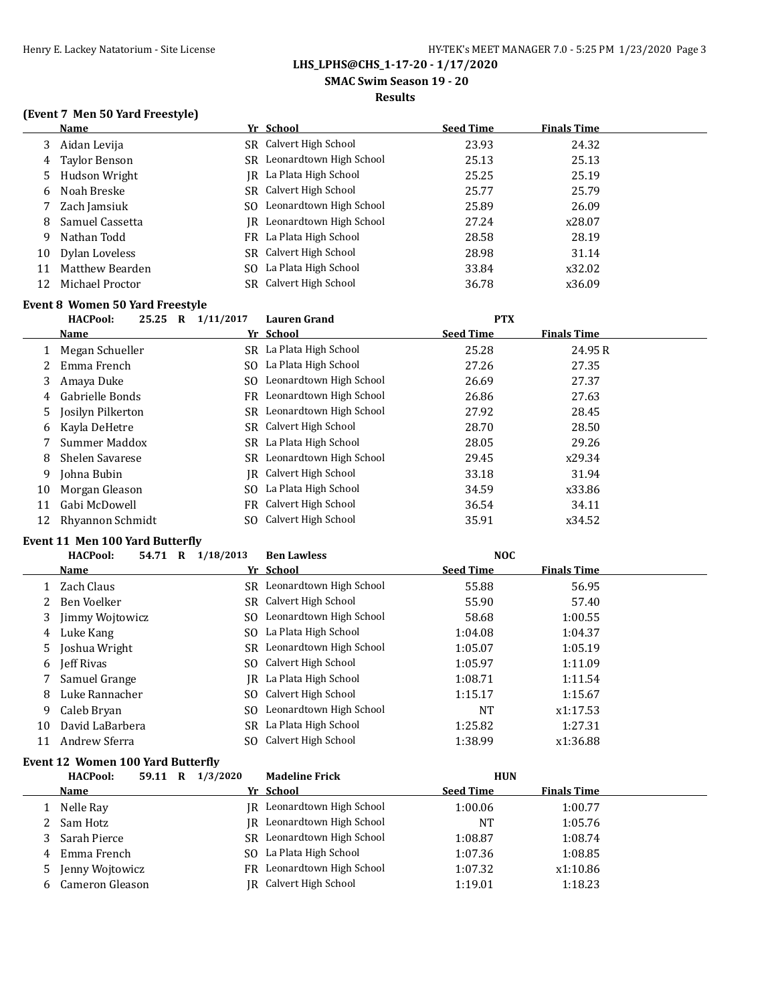**SMAC Swim Season 19 - 20**

#### **Results**

## **(Event 7 Men 50 Yard Freestyle)**

|    | Name                                    |           | Yr School                              | <b>Seed Time</b>                                     | <b>Finals Time</b>         |  |
|----|-----------------------------------------|-----------|----------------------------------------|------------------------------------------------------|----------------------------|--|
| 3  | Aidan Levija                            |           | SR Calvert High School                 | 23.93                                                | 24.32                      |  |
| 4  | Taylor Benson                           |           | SR Leonardtown High School             | 25.13                                                | 25.13                      |  |
| 5  | Hudson Wright                           |           | IR La Plata High School                | 25.25                                                | 25.19                      |  |
| 6  | Noah Breske                             |           | SR Calvert High School                 | 25.77                                                | 25.79                      |  |
|    | Zach Jamsiuk                            |           | SO Leonardtown High School             | 25.89                                                | 26.09                      |  |
| 8  | Samuel Cassetta                         |           | IR Leonardtown High School             | 27.24                                                | x28.07                     |  |
| 9  | Nathan Todd                             |           | FR La Plata High School                | 28.58                                                | 28.19                      |  |
| 10 | Dylan Loveless                          |           | SR Calvert High School                 | 28.98                                                | 31.14                      |  |
| 11 | Matthew Bearden                         |           | SO La Plata High School                | 33.84                                                | x32.02                     |  |
| 12 | Michael Proctor                         |           | SR Calvert High School                 | 36.78                                                | x36.09                     |  |
|    | <b>Event 8 Women 50 Yard Freestyle</b>  |           |                                        |                                                      |                            |  |
|    | <b>HACPool:</b><br>25.25<br>$\mathbf R$ | 1/11/2017 | Lauren Grand                           | <b>PTX</b>                                           |                            |  |
|    | $\mathbf{M}$ and $\mathbf{M}$           |           | $V_{\rm eff}$ $C_{\rm eff}$ $\sim$ $1$ | $C_{\rm{max}}$ and $T_{\rm{max}}$ and $T_{\rm{max}}$ | <b>The collect Planets</b> |  |

|     | <b>Name</b>         | Yr School                     | <b>Seed Time</b> | <b>Finals Time</b> |
|-----|---------------------|-------------------------------|------------------|--------------------|
|     | Megan Schueller     | SR La Plata High School       | 25.28            | 24.95 R            |
|     | Emma French         | SO La Plata High School       | 27.26            | 27.35              |
| 3   | Amaya Duke          | SO Leonardtown High School    | 26.69            | 27.37              |
| 4   | Gabrielle Bonds     | FR Leonardtown High School    | 26.86            | 27.63              |
|     | 5 Josilyn Pilkerton | SR Leonardtown High School    | 27.92            | 28.45              |
| 6   | Kayla DeHetre       | SR Calvert High School        | 28.70            | 28.50              |
|     | Summer Maddox       | SR La Plata High School       | 28.05            | 29.26              |
| 8   | Shelen Savarese     | SR Leonardtown High School    | 29.45            | x29.34             |
| 9   | Johna Bubin         | <b>IR</b> Calvert High School | 33.18            | 31.94              |
| 10  | Morgan Gleason      | SO La Plata High School       | 34.59            | x33.86             |
| 11  | Gabi McDowell       | FR Calvert High School        | 36.54            | 34.11              |
| 12. | Rhyannon Schmidt    | SO Calvert High School        | 35.91            | x34.52             |
|     |                     |                               |                  |                    |

## **Event 11 Men 100 Yard Butterfly**

|    | <b>HACPool:</b><br>54.71<br>R | 1/18/2013 | <b>Ben Lawless</b>         | <b>NOC</b>       |                    |  |
|----|-------------------------------|-----------|----------------------------|------------------|--------------------|--|
|    | Name                          |           | Yr School                  | <b>Seed Time</b> | <b>Finals Time</b> |  |
|    | 1 Zach Claus                  |           | SR Leonardtown High School | 55.88            | 56.95              |  |
|    | 2 Ben Voelker                 |           | SR Calvert High School     | 55.90            | 57.40              |  |
|    | 3 Jimmy Wojtowicz             |           | SO Leonardtown High School | 58.68            | 1:00.55            |  |
| 4  | Luke Kang                     |           | SO La Plata High School    | 1:04.08          | 1:04.37            |  |
|    | 5 Joshua Wright               |           | SR Leonardtown High School | 1:05.07          | 1:05.19            |  |
|    | 6 <b>Jeff Rivas</b>           |           | SO Calvert High School     | 1:05.97          | 1:11.09            |  |
|    | Samuel Grange                 |           | IR La Plata High School    | 1:08.71          | 1:11.54            |  |
| 8  | Luke Rannacher                |           | SO Calvert High School     | 1:15.17          | 1:15.67            |  |
| 9  | Caleb Bryan                   |           | SO Leonardtown High School | <b>NT</b>        | x1:17.53           |  |
| 10 | David LaBarbera               |           | SR La Plata High School    | 1:25.82          | 1:27.31            |  |
| 11 | Andrew Sferra                 |           | SO Calvert High School     | 1:38.99          | x1:36.88           |  |

### **Event 12 Women 100 Yard Butterfly**

|    | <b>HACPool:</b><br>59.11 R | 1/3/2020 | <b>Madeline Frick</b>             | <b>HUN</b>       |                    |  |
|----|----------------------------|----------|-----------------------------------|------------------|--------------------|--|
|    | Name                       |          | Yr School                         | <b>Seed Time</b> | <b>Finals Time</b> |  |
|    | Nelle Ray                  |          | JR Leonardtown High School        | 1:00.06          | 1:00.77            |  |
|    | 2 Sam Hotz                 |          | <b>IR</b> Leonardtown High School | NT               | 1:05.76            |  |
|    | Sarah Pierce               |          | SR Leonardtown High School        | 1:08.87          | 1:08.74            |  |
|    | 4 Emma French              |          | SO La Plata High School           | 1:07.36          | 1:08.85            |  |
| 5. | Jenny Wojtowicz            |          | FR Leonardtown High School        | 1:07.32          | x1:10.86           |  |
| b. | Cameron Gleason            |          | JR Calvert High School            | 1:19.01          | 1:18.23            |  |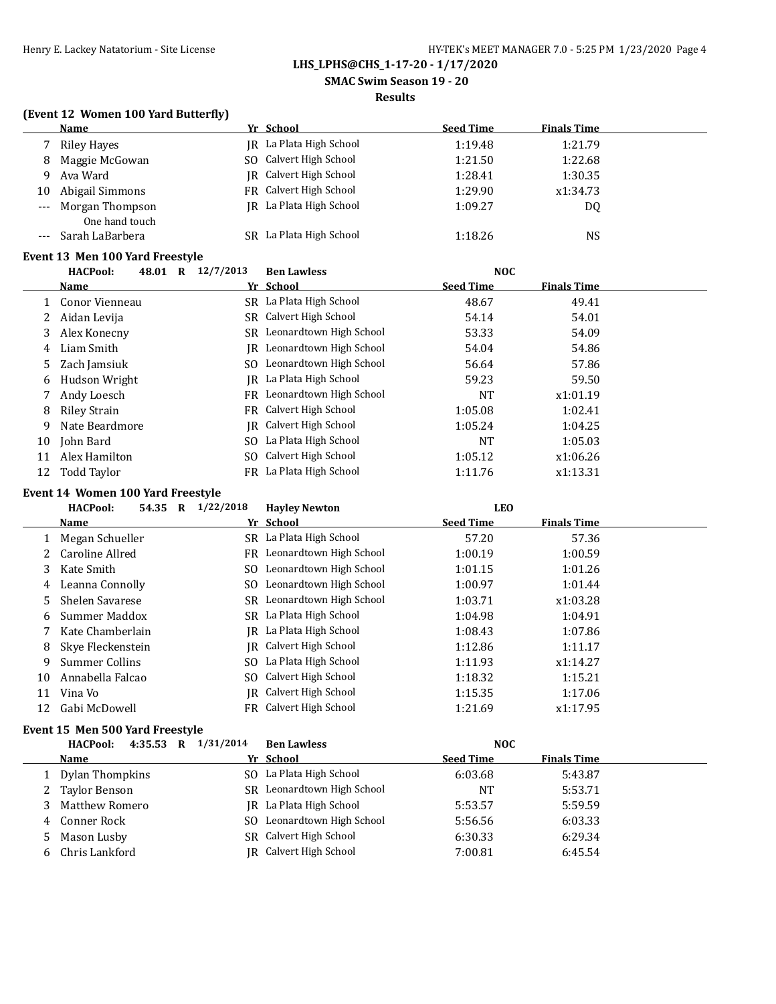**SMAC Swim Season 19 - 20**

#### **Results**

## **(Event 12 Women 100 Yard Butterfly)**

|    | Name            |    | Yr School               | <b>Seed Time</b> | <b>Finals Time</b> |
|----|-----------------|----|-------------------------|------------------|--------------------|
|    | Riley Hayes     |    | IR La Plata High School | 1:19.48          | 1:21.79            |
| 8  | Maggie McGowan  |    | SO Calvert High School  | 1:21.50          | 1:22.68            |
| q  | Ava Ward        |    | IR Calvert High School  | 1:28.41          | 1:30.35            |
| 10 | Abigail Simmons |    | FR Calvert High School  | 1:29.90          | x1:34.73           |
|    | Morgan Thompson |    | IR La Plata High School | 1:09.27          | DQ                 |
|    | One hand touch  |    |                         |                  |                    |
|    | Sarah LaBarbera | SR | La Plata High School    | 1:18.26          | <b>NS</b>          |

### **Event 13 Men 100 Yard Freestyle**

|    | <b>HACPool:</b><br>48.01 R | 12/7/2013 | <b>Ben Lawless</b>         | <b>NOC</b>       |                    |  |
|----|----------------------------|-----------|----------------------------|------------------|--------------------|--|
|    | Name                       |           | Yr School                  | <b>Seed Time</b> | <b>Finals Time</b> |  |
|    | Conor Vienneau             |           | SR La Plata High School    | 48.67            | 49.41              |  |
| 2  | Aidan Levija               |           | SR Calvert High School     | 54.14            | 54.01              |  |
| 3  | Alex Konecny               |           | SR Leonardtown High School | 53.33            | 54.09              |  |
| 4  | Liam Smith                 | IR        | Leonardtown High School    | 54.04            | 54.86              |  |
| 5. | Zach Jamsiuk               |           | SO Leonardtown High School | 56.64            | 57.86              |  |
| 6  | Hudson Wright              | IR -      | La Plata High School       | 59.23            | 59.50              |  |
|    | Andy Loesch                |           | FR Leonardtown High School | NT               | x1:01.19           |  |
| 8  | Riley Strain               |           | FR Calvert High School     | 1:05.08          | 1:02.41            |  |
| 9  | Nate Beardmore             |           | IR Calvert High School     | 1:05.24          | 1:04.25            |  |
| 10 | John Bard                  |           | SO La Plata High School    | NT               | 1:05.03            |  |
| 11 | Alex Hamilton              |           | SO Calvert High School     | 1:05.12          | x1:06.26           |  |
| 12 | Todd Taylor                |           | FR La Plata High School    | 1:11.76          | x1:13.31           |  |

## **Event 14 Women 100 Yard Freestyle**

|    | <b>HACPool:</b><br>54.35 | 1/22/2018<br>R | <b>Hayley Newton</b>       | <b>LEO</b>       |                    |  |
|----|--------------------------|----------------|----------------------------|------------------|--------------------|--|
|    | <b>Name</b>              |                | Yr School                  | <b>Seed Time</b> | <b>Finals Time</b> |  |
|    | Megan Schueller          |                | SR La Plata High School    | 57.20            | 57.36              |  |
|    | Caroline Allred          | FR             | Leonardtown High School    | 1:00.19          | 1:00.59            |  |
| 3  | Kate Smith               | SO.            | Leonardtown High School    | 1:01.15          | 1:01.26            |  |
| 4  | Leanna Connolly          | SO.            | Leonardtown High School    | 1:00.97          | 1:01.44            |  |
| 5. | Shelen Savarese          |                | SR Leonardtown High School | 1:03.71          | x1:03.28           |  |
| 6  | Summer Maddox            |                | SR La Plata High School    | 1:04.98          | 1:04.91            |  |
|    | Kate Chamberlain         | IR-            | La Plata High School       | 1:08.43          | 1:07.86            |  |
| 8  | Skye Fleckenstein        | IR-            | Calvert High School        | 1:12.86          | 1:11.17            |  |
| 9  | Summer Collins           | SO.            | La Plata High School       | 1:11.93          | x1:14.27           |  |
| 10 | Annabella Falcao         | SO.            | Calvert High School        | 1:18.32          | 1:15.21            |  |
| 11 | Vina Vo                  |                | JR Calvert High School     | 1:15.35          | 1:17.06            |  |
| 12 | Gabi McDowell            |                | FR Calvert High School     | 1:21.69          | x1:17.95           |  |
|    |                          |                |                            |                  |                    |  |

### **Event 15 Men 500 Yard Freestyle**

|   | 4:35.53 R 1/31/2014<br><b>HACPool:</b> | <b>Ben Lawless</b>         | <b>NOC</b>       |                    |  |
|---|----------------------------------------|----------------------------|------------------|--------------------|--|
|   | Name                                   | Yr School                  | <b>Seed Time</b> | <b>Finals Time</b> |  |
|   | Dylan Thompkins                        | SO La Plata High School    | 6:03.68          | 5:43.87            |  |
| 2 | Taylor Benson                          | SR Leonardtown High School | <b>NT</b>        | 5:53.71            |  |
|   | Matthew Romero                         | IR La Plata High School    | 5:53.57          | 5:59.59            |  |
| 4 | Conner Rock                            | SO Leonardtown High School | 5:56.56          | 6:03.33            |  |
| 5 | Mason Lusby                            | SR Calvert High School     | 6:30.33          | 6:29.34            |  |
|   | Chris Lankford                         | IR Calvert High School     | 7:00.81          | 6:45.54            |  |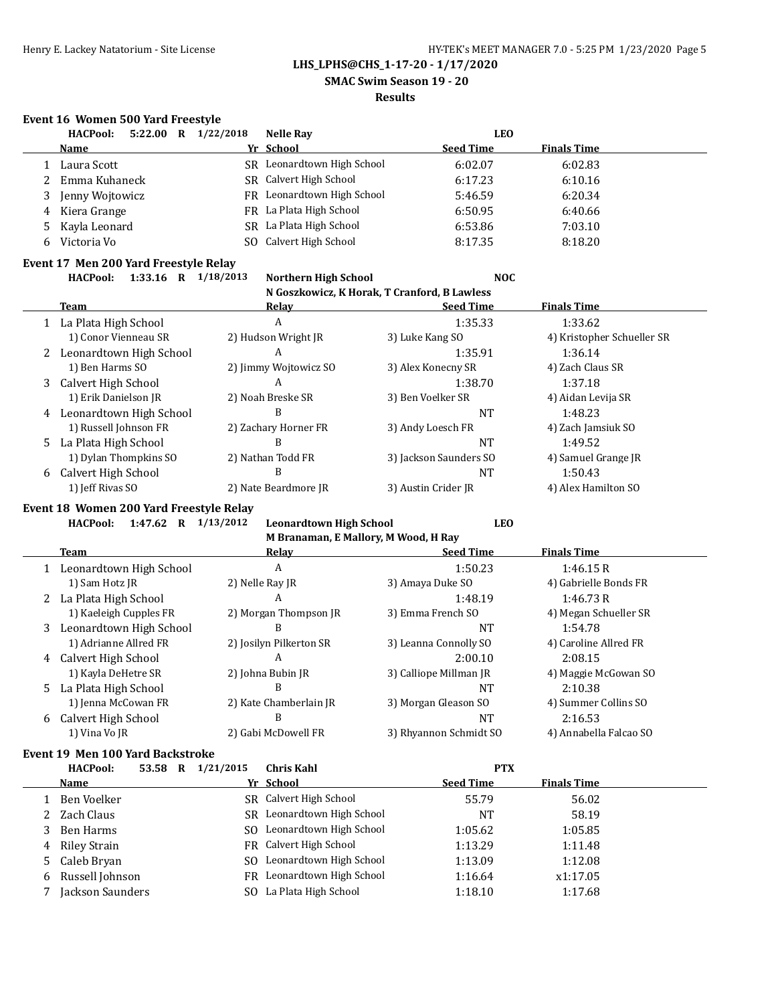**SMAC Swim Season 19 - 20**

#### **Results**

### **Event 16 Women 500 Yard Freestyle**

|    | 5:22.00 R 1/22/2018<br><b>HACPool:</b>   |     | <b>Nelle Rav</b>                             | <b>LEO</b>             |                            |
|----|------------------------------------------|-----|----------------------------------------------|------------------------|----------------------------|
|    | Name                                     |     | Yr School                                    | <b>Seed Time</b>       | <b>Finals Time</b>         |
|    | Laura Scott                              |     | SR Leonardtown High School                   | 6:02.07                | 6:02.83                    |
|    | Emma Kuhaneck                            | SR  | Calvert High School                          | 6:17.23                | 6:10.16                    |
| 3  | Jenny Wojtowicz                          |     | FR Leonardtown High School                   | 5:46.59                | 6:20.34                    |
| 4  | Kiera Grange                             |     | FR La Plata High School                      | 6:50.95                | 6:40.66                    |
| 5  | Kayla Leonard                            |     | SR La Plata High School                      | 6:53.86                | 7:03.10                    |
| 6  | Victoria Vo                              | SO. | Calvert High School                          | 8:17.35                | 8:18.20                    |
|    | Event 17 Men 200 Yard Freestyle Relay    |     |                                              |                        |                            |
|    | <b>HACPool:</b><br>1:33.16 R $1/18/2013$ |     | <b>Northern High School</b>                  | <b>NOC</b>             |                            |
|    |                                          |     | N Goszkowicz, K Horak, T Cranford, B Lawless |                        |                            |
|    | Team                                     |     | <b>Relay</b>                                 | <b>Seed Time</b>       | <b>Finals Time</b>         |
| 1  | La Plata High School                     |     | A                                            | 1:35.33                | 1:33.62                    |
|    | 1) Conor Vienneau SR                     |     | 2) Hudson Wright JR                          | 3) Luke Kang SO        | 4) Kristopher Schueller SR |
|    | Leonardtown High School                  |     | A                                            | 1:35.91                | 1:36.14                    |
|    | 1) Ben Harms SO                          |     | 2) Jimmy Wojtowicz SO                        | 3) Alex Konecny SR     | 4) Zach Claus SR           |
| 3  | Calvert High School                      |     | A                                            | 1:38.70                | 1:37.18                    |
|    | 1) Erik Danielson JR                     |     | 2) Noah Breske SR                            | 3) Ben Voelker SR      | 4) Aidan Levija SR         |
| 4  | Leonardtown High School                  |     | B                                            | <b>NT</b>              | 1:48.23                    |
|    | 1) Russell Johnson FR                    |     | 2) Zachary Horner FR                         | 3) Andy Loesch FR      | 4) Zach Jamsiuk SO         |
| 5. | La Plata High School                     |     | B                                            | <b>NT</b>              | 1:49.52                    |
|    | 1) Dylan Thompkins SO                    |     | 2) Nathan Todd FR                            | 3) Jackson Saunders SO | 4) Samuel Grange JR        |
| 6  | Calvert High School                      |     | B                                            | <b>NT</b>              | 1:50.43                    |
|    | 1) Jeff Rivas SO                         |     | 2) Nate Beardmore JR                         | 3) Austin Crider JR    | 4) Alex Hamilton SO        |
|    | Event 18 Women 200 Yard Freestyle Relay  |     |                                              |                        |                            |

### **Event 18 Women 200 Yard Freestyle Relay**

|    | $1:47.62$ R<br><b>HACPool:</b> | 1/13/2012<br><b>Leonardtown High School</b> | <b>LEO</b>             |                        |
|----|--------------------------------|---------------------------------------------|------------------------|------------------------|
|    |                                | M Branaman, E Mallory, M Wood, H Ray        |                        |                        |
|    | <b>Team</b>                    | Relay                                       | <b>Seed Time</b>       | <b>Finals Time</b>     |
|    | Leonardtown High School        | A                                           | 1:50.23                | 1:46.15R               |
|    | 1) Sam Hotz JR                 | 2) Nelle Ray JR                             | 3) Amaya Duke SO       | 4) Gabrielle Bonds FR  |
|    | La Plata High School           | A                                           | 1:48.19                | 1:46.73R               |
|    | 1) Kaeleigh Cupples FR         | 2) Morgan Thompson JR                       | 3) Emma French SO      | 4) Megan Schueller SR  |
| 3  | Leonardtown High School        | B                                           | NT                     | 1:54.78                |
|    | 1) Adrianne Allred FR          | 2) Josilyn Pilkerton SR                     | 3) Leanna Connolly SO  | 4) Caroline Allred FR  |
| 4  | Calvert High School            | A                                           | 2:00.10                | 2:08.15                |
|    | 1) Kayla DeHetre SR            | 2) Johna Bubin JR                           | 3) Calliope Millman JR | 4) Maggie McGowan SO   |
| 5. | La Plata High School           | B                                           | NT                     | 2:10.38                |
|    | 1) Jenna McCowan FR            | 2) Kate Chamberlain JR                      | 3) Morgan Gleason SO   | 4) Summer Collins SO   |
| 6  | Calvert High School            | B                                           | <b>NT</b>              | 2:16.53                |
|    | 1) Vina Vo JR                  | 2) Gabi McDowell FR                         | 3) Rhyannon Schmidt SO | 4) Annabella Falcao SO |

## **Event 19 Men 100 Yard Backstroke**

|   | <b>HACPool:</b>   | 53.58 | R | 1/21/2015 | Chris Kahl                 | <b>PTX</b>       |                    |  |
|---|-------------------|-------|---|-----------|----------------------------|------------------|--------------------|--|
|   | <b>Name</b>       |       |   |           | Yr School                  | <b>Seed Time</b> | <b>Finals Time</b> |  |
|   | Ben Voelker       |       |   | SR.       | Calvert High School        | 55.79            | 56.02              |  |
|   | 2 Zach Claus      |       |   | SR.       | Leonardtown High School    | NT               | 58.19              |  |
| 3 | Ben Harms         |       |   | SO.       | Leonardtown High School    | 1:05.62          | 1:05.85            |  |
|   | 4 Riley Strain    |       |   |           | FR Calvert High School     | 1:13.29          | 1:11.48            |  |
|   | 5 Caleb Bryan     |       |   |           | SO Leonardtown High School | 1:13.09          | 1:12.08            |  |
|   | 6 Russell Johnson |       |   | FR        | Leonardtown High School    | 1:16.64          | x1:17.05           |  |
|   | Jackson Saunders  |       |   | SO.       | La Plata High School       | 1:18.10          | 1:17.68            |  |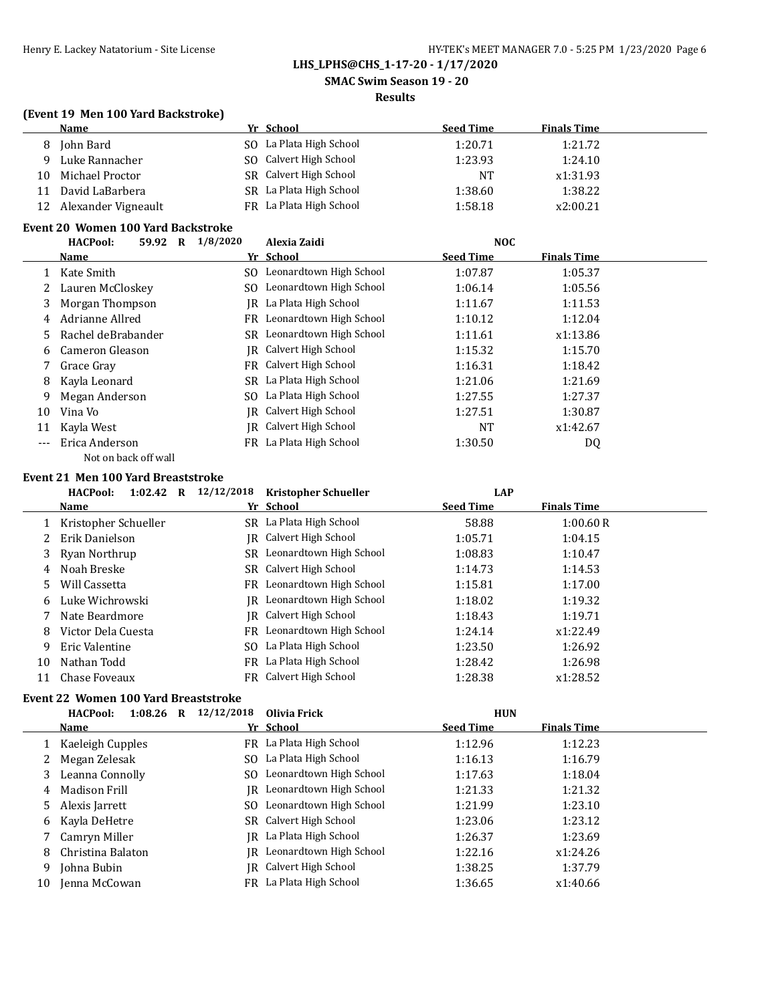# **SMAC Swim Season 19 - 20**

### **Results**

## **(Event 19 Men 100 Yard Backstroke)**

|    | Name                | Yr School                   | <b>Seed Time</b> | <b>Finals Time</b> |
|----|---------------------|-----------------------------|------------------|--------------------|
| 8  | John Bard           | SO La Plata High School     | 1:20.71          | 1:21.72            |
| q  | Luke Rannacher      | SO Calvert High School      | 1:23.93          | 1:24.10            |
| 10 | Michael Proctor     | SR Calvert High School      | <b>NT</b>        | x1:31.93           |
| 11 | David LaBarbera     | La Plata High School<br>SR. | 1:38.60          | 1:38.22            |
| 12 | Alexander Vigneault | FR La Plata High School     | 1:58.18          | x2:00.21           |

### **Event 20 Women 100 Yard Backstroke**

|       | <b>HACPool:</b><br>59.92<br>$\bf R$ | 1/8/2020 | Alexia Zaidi                  | <b>NOC</b>       |                    |
|-------|-------------------------------------|----------|-------------------------------|------------------|--------------------|
|       | Name                                |          | Yr School                     | <b>Seed Time</b> | <b>Finals Time</b> |
|       | 1 Kate Smith                        | SO.      | Leonardtown High School       | 1:07.87          | 1:05.37            |
|       | Lauren McCloskey                    | SO.      | Leonardtown High School       | 1:06.14          | 1:05.56            |
| 3     | Morgan Thompson                     | IR       | La Plata High School          | 1:11.67          | 1:11.53            |
| 4     | Adrianne Allred                     |          | FR Leonardtown High School    | 1:10.12          | 1:12.04            |
| 5.    | Rachel deBrabander                  |          | SR Leonardtown High School    | 1:11.61          | x1:13.86           |
| 6     | Cameron Gleason                     |          | IR Calvert High School        | 1:15.32          | 1:15.70            |
|       | Grace Gray                          |          | FR Calvert High School        | 1:16.31          | 1:18.42            |
| 8     | Kayla Leonard                       |          | SR La Plata High School       | 1:21.06          | 1:21.69            |
| 9     | Megan Anderson                      |          | SO La Plata High School       | 1:27.55          | 1:27.37            |
| 10    | Vina Vo                             |          | IR Calvert High School        | 1:27.51          | 1:30.87            |
| 11    | Kayla West                          |          | <b>IR</b> Calvert High School | <b>NT</b>        | x1:42.67           |
| $---$ | Erica Anderson                      |          | FR La Plata High School       | 1:30.50          | DQ                 |
|       | Not on back off wall                |          |                               |                  |                    |

#### **Event 21 Men 100 Yard Breaststroke**

|    | HACPool:<br>1:02.42<br>R | 12/12/2018<br><b>Kristopher Schueller</b> | <b>LAP</b>       |                    |
|----|--------------------------|-------------------------------------------|------------------|--------------------|
|    | <b>Name</b>              | Yr School                                 | <b>Seed Time</b> | <b>Finals Time</b> |
|    | Kristopher Schueller     | SR La Plata High School                   | 58.88            | 1:00.60R           |
|    | Erik Danielson           | <b>IR</b> Calvert High School             | 1:05.71          | 1:04.15            |
| 3  | Ryan Northrup            | Leonardtown High School<br>SR             | 1:08.83          | 1:10.47            |
| 4  | Noah Breske              | SR Calvert High School                    | 1:14.73          | 1:14.53            |
| 5  | Will Cassetta            | FR Leonardtown High School                | 1:15.81          | 1:17.00            |
| 6  | Luke Wichrowski          | Leonardtown High School<br>IR-            | 1:18.02          | 1:19.32            |
|    | Nate Beardmore           | Calvert High School<br>IR-                | 1:18.43          | 1:19.71            |
| 8  | Victor Dela Cuesta       | Leonardtown High School<br>FR             | 1:24.14          | x1:22.49           |
| 9  | Eric Valentine           | La Plata High School<br>SO.               | 1:23.50          | 1:26.92            |
| 10 | Nathan Todd              | FR La Plata High School                   | 1:28.42          | 1:26.98            |
| 11 | Chase Foveaux            | FR Calvert High School                    | 1:28.38          | x1:28.52           |

## **Event 22 Women 100 Yard Breaststroke**

|    | <b>HACPool:</b><br>1:08.26<br>R | 12/12/2018<br>Olivia Frick     | <b>HUN</b>                             |  |
|----|---------------------------------|--------------------------------|----------------------------------------|--|
|    | <b>Name</b>                     | Yr School                      | <b>Finals Time</b><br><b>Seed Time</b> |  |
|    | Kaeleigh Cupples                | FR La Plata High School        | 1:12.96<br>1:12.23                     |  |
|    | Megan Zelesak                   | La Plata High School<br>SO.    | 1:16.79<br>1:16.13                     |  |
| 3  | Leanna Connolly                 | Leonardtown High School<br>SO. | 1:18.04<br>1:17.63                     |  |
| 4  | Madison Frill                   | Leonardtown High School<br>IR- | 1:21.32<br>1:21.33                     |  |
|    | 5 Alexis Jarrett                | Leonardtown High School<br>SO. | 1:21.99<br>1:23.10                     |  |
|    | 6 Kayla DeHetre                 | SR Calvert High School         | 1:23.06<br>1:23.12                     |  |
|    | Camryn Miller                   | La Plata High School<br>IR     | 1:23.69<br>1:26.37                     |  |
| 8  | Christina Balaton               | Leonardtown High School<br>IR- | 1:22.16<br>x1:24.26                    |  |
| 9  | Johna Bubin                     | Calvert High School<br>IR-     | 1:38.25<br>1:37.79                     |  |
| 10 | Jenna McCowan                   | FR La Plata High School        | 1:36.65<br>x1:40.66                    |  |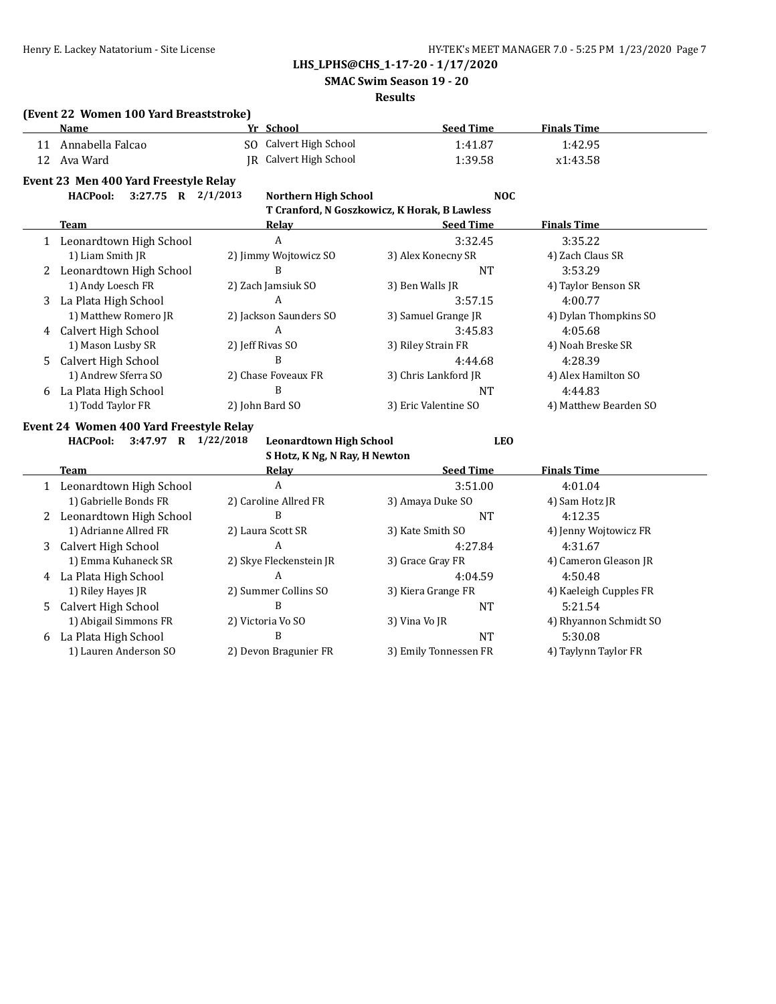**SMAC Swim Season 19 - 20**

#### **Results**

## **(Event 22 Women 100 Yard Breaststroke)**

|    | <b>Name</b>                             | Yr School               |                                | <b>Seed Time</b>                             | <b>Finals Time</b>     |
|----|-----------------------------------------|-------------------------|--------------------------------|----------------------------------------------|------------------------|
| 11 | Annabella Falcao                        |                         | SO Calvert High School         | 1:41.87                                      | 1:42.95                |
| 12 | Ava Ward                                | IR                      | Calvert High School            | 1:39.58                                      | x1:43.58               |
|    | Event 23 Men 400 Yard Freestyle Relay   |                         |                                |                                              |                        |
|    | 3:27.75 R 2/1/2013<br><b>HACPool:</b>   |                         | <b>Northern High School</b>    | <b>NOC</b>                                   |                        |
|    |                                         |                         |                                | T Cranford, N Goszkowicz, K Horak, B Lawless |                        |
|    | Team                                    | <b>Relay</b>            |                                | <b>Seed Time</b>                             | <b>Finals Time</b>     |
|    | 1 Leonardtown High School               | A                       |                                | 3:32.45                                      | 3:35.22                |
|    | 1) Liam Smith JR                        | 2) Jimmy Wojtowicz SO   |                                | 3) Alex Konecny SR                           | 4) Zach Claus SR       |
| 2  | Leonardtown High School                 | <sub>R</sub>            |                                | <b>NT</b>                                    | 3:53.29                |
|    | 1) Andy Loesch FR                       | 2) Zach Jamsiuk SO      |                                | 3) Ben Walls JR                              | 4) Taylor Benson SR    |
| 3  | La Plata High School                    | A                       |                                | 3:57.15                                      | 4:00.77                |
|    | 1) Matthew Romero JR                    | 2) Jackson Saunders SO  |                                | 3) Samuel Grange JR                          | 4) Dylan Thompkins SO  |
| 4  | Calvert High School                     | A                       |                                | 3:45.83                                      | 4:05.68                |
|    | 1) Mason Lusby SR                       | 2) Jeff Rivas SO        |                                | 3) Riley Strain FR                           | 4) Noah Breske SR      |
| 5  | Calvert High School                     | B                       |                                | 4:44.68                                      | 4:28.39                |
|    | 1) Andrew Sferra SO                     | 2) Chase Foveaux FR     |                                | 3) Chris Lankford JR                         | 4) Alex Hamilton SO    |
|    | 6 La Plata High School                  | B                       |                                | <b>NT</b>                                    | 4:44.83                |
|    | 1) Todd Taylor FR                       | 2) John Bard SO         |                                | 3) Eric Valentine SO                         | 4) Matthew Bearden SO  |
|    | Event 24 Women 400 Yard Freestyle Relay |                         |                                |                                              |                        |
|    | 3:47.97 R<br><b>HACPool:</b>            | 1/22/2018               | <b>Leonardtown High School</b> | <b>LEO</b>                                   |                        |
|    |                                         |                         | S Hotz, K Ng, N Ray, H Newton  |                                              |                        |
|    | <b>Team</b>                             | <b>Relay</b>            |                                | <b>Seed Time</b>                             | <b>Finals Time</b>     |
|    | 1 Leonardtown High School               | $\mathbf{A}$            |                                | 3:51.00                                      | 4:01.04                |
|    | 1) Gabrielle Bonds FR                   | 2) Caroline Allred FR   |                                | 3) Amaya Duke SO                             | 4) Sam Hotz JR         |
| 2  | Leonardtown High School                 | B                       |                                | <b>NT</b>                                    | 4:12.35                |
|    | 1) Adrianne Allred FR                   | 2) Laura Scott SR       |                                | 3) Kate Smith SO                             | 4) Jenny Wojtowicz FR  |
| 3  | Calvert High School                     | A                       |                                | 4:27.84                                      | 4:31.67                |
|    | 1) Emma Kuhaneck SR                     | 2) Skye Fleckenstein JR |                                | 3) Grace Gray FR                             | 4) Cameron Gleason JR  |
|    | 4 La Plata High School                  | A                       |                                | 4:04.59                                      | 4:50.48                |
|    | 1) Riley Hayes JR                       | 2) Summer Collins SO    |                                | 3) Kiera Grange FR                           | 4) Kaeleigh Cupples FR |
| 5  | Calvert High School                     | B                       |                                | <b>NT</b>                                    | 5:21.54                |
|    | 1) Abigail Simmons FR                   | 2) Victoria Vo SO       |                                | 3) Vina Vo JR                                | 4) Rhyannon Schmidt SO |
| 6  | La Plata High School                    | B                       |                                | <b>NT</b>                                    | 5:30.08                |
|    | 1) Lauren Anderson SO                   | 2) Devon Bragunier FR   |                                | 3) Emily Tonnessen FR                        | 4) Taylynn Taylor FR   |